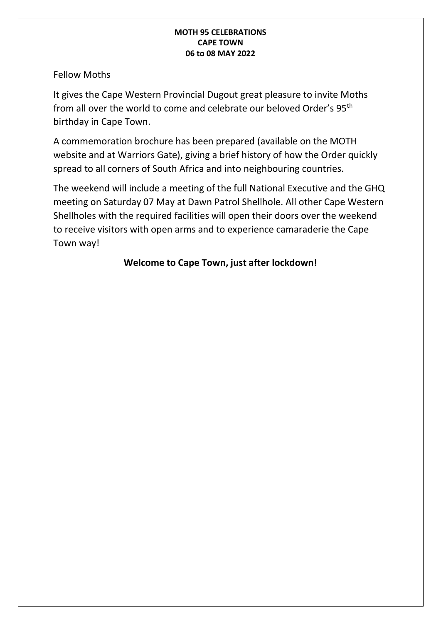Fellow Moths

It gives the Cape Western Provincial Dugout great pleasure to invite Moths from all over the world to come and celebrate our beloved Order's 95th birthday in Cape Town.

A commemoration brochure has been prepared (available on the MOTH website and at Warriors Gate), giving a brief history of how the Order quickly spread to all corners of South Africa and into neighbouring countries.

The weekend will include a meeting of the full National Executive and the GHQ meeting on Saturday 07 May at Dawn Patrol Shellhole. All other Cape Western Shellholes with the required facilities will open their doors over the weekend to receive visitors with open arms and to experience camaraderie the Cape Town way!

### **Welcome to Cape Town, just after lockdown!**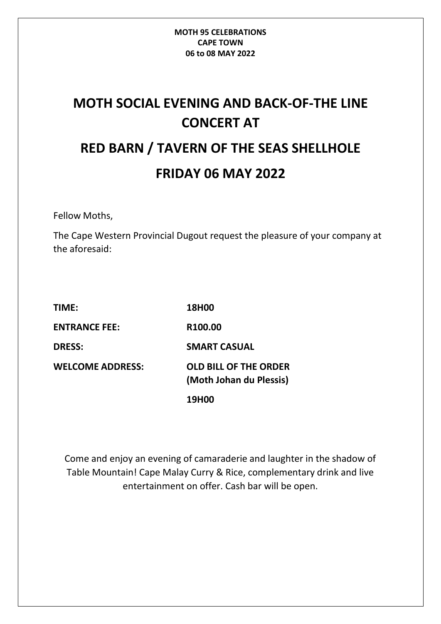# **MOTH SOCIAL EVENING AND BACK-OF-THE LINE CONCERT AT RED BARN / TAVERN OF THE SEAS SHELLHOLE FRIDAY 06 MAY 2022**

Fellow Moths,

The Cape Western Provincial Dugout request the pleasure of your company at the aforesaid:

| <b>TIME:</b>            | <b>18H00</b>                                            |
|-------------------------|---------------------------------------------------------|
| <b>ENTRANCE FEE:</b>    | R100.00                                                 |
| <b>DRESS:</b>           | <b>SMART CASUAL</b>                                     |
| <b>WELCOME ADDRESS:</b> | <b>OLD BILL OF THE ORDER</b><br>(Moth Johan du Plessis) |
|                         | 19H00                                                   |

Come and enjoy an evening of camaraderie and laughter in the shadow of Table Mountain! Cape Malay Curry & Rice, complementary drink and live entertainment on offer. Cash bar will be open.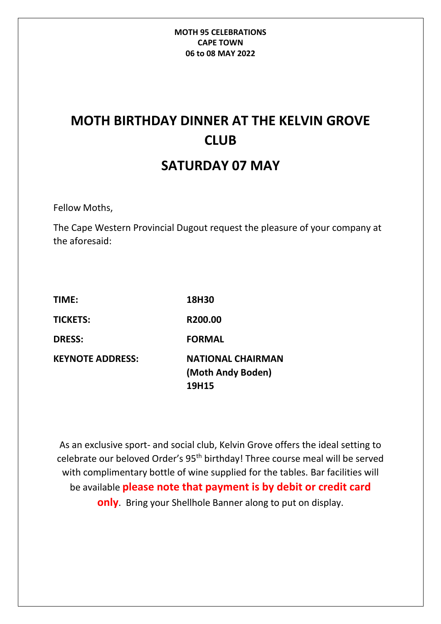## **MOTH BIRTHDAY DINNER AT THE KELVIN GROVE CLUB SATURDAY 07 MAY**

Fellow Moths,

The Cape Western Provincial Dugout request the pleasure of your company at the aforesaid:

| TIME:                   | 18H30                    |
|-------------------------|--------------------------|
| <b>TICKETS:</b>         | R200.00                  |
| <b>DRESS:</b>           | <b>FORMAL</b>            |
| <b>KEYNOTE ADDRESS:</b> | <b>NATIONAL CHAIRMAN</b> |
|                         | (Moth Andy Boden)        |
|                         | 19H15                    |

As an exclusive sport- and social club, Kelvin Grove offers the ideal setting to celebrate our beloved Order's 95th birthday! Three course meal will be served with complimentary bottle of wine supplied for the tables. Bar facilities will be available **please note that payment is by debit or credit card only**. Bring your Shellhole Banner along to put on display.